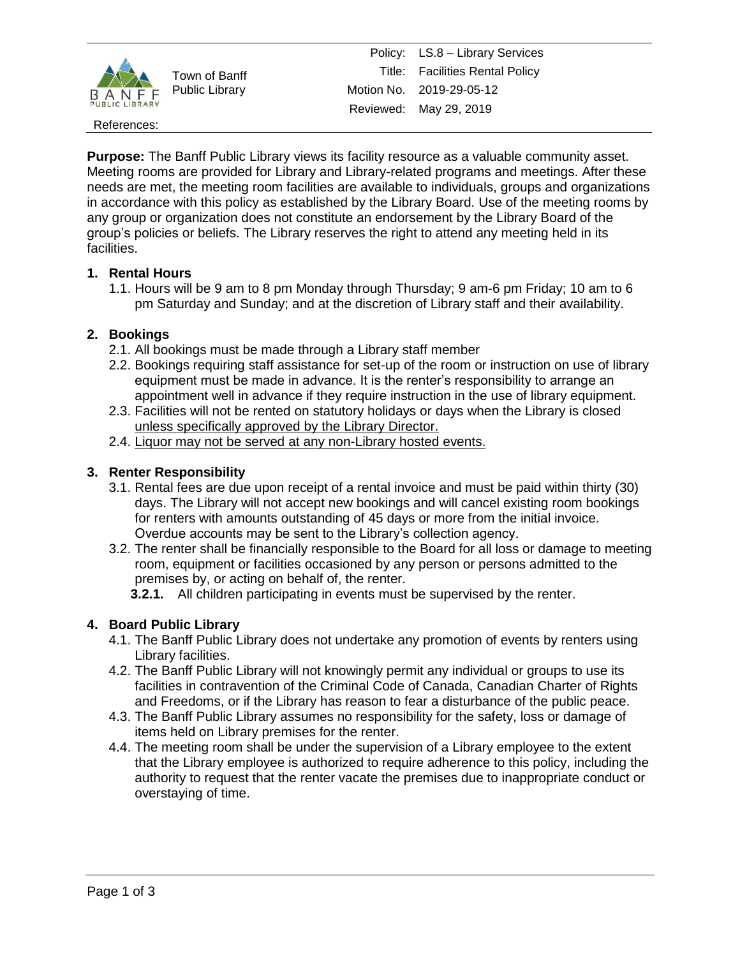

Town of Banff Public Library

#### References:

**Purpose:** The Banff Public Library views its facility resource as a valuable community asset. Meeting rooms are provided for Library and Library-related programs and meetings. After these needs are met, the meeting room facilities are available to individuals, groups and organizations in accordance with this policy as established by the Library Board. Use of the meeting rooms by any group or organization does not constitute an endorsement by the Library Board of the group's policies or beliefs. The Library reserves the right to attend any meeting held in its facilities.

# **1. Rental Hours**

1.1. Hours will be 9 am to 8 pm Monday through Thursday; 9 am-6 pm Friday; 10 am to 6 pm Saturday and Sunday; and at the discretion of Library staff and their availability.

# **2. Bookings**

- 2.1. All bookings must be made through a Library staff member
- 2.2. Bookings requiring staff assistance for set-up of the room or instruction on use of library equipment must be made in advance. It is the renter's responsibility to arrange an appointment well in advance if they require instruction in the use of library equipment.
- 2.3. Facilities will not be rented on statutory holidays or days when the Library is closed unless specifically approved by the Library Director.
- 2.4. Liquor may not be served at any non-Library hosted events.

# **3. Renter Responsibility**

- 3.1. Rental fees are due upon receipt of a rental invoice and must be paid within thirty (30) days. The Library will not accept new bookings and will cancel existing room bookings for renters with amounts outstanding of 45 days or more from the initial invoice. Overdue accounts may be sent to the Library's collection agency.
- 3.2. The renter shall be financially responsible to the Board for all loss or damage to meeting room, equipment or facilities occasioned by any person or persons admitted to the premises by, or acting on behalf of, the renter.

**3.2.1.** All children participating in events must be supervised by the renter.

# **4. Board Public Library**

- 4.1. The Banff Public Library does not undertake any promotion of events by renters using Library facilities.
- 4.2. The Banff Public Library will not knowingly permit any individual or groups to use its facilities in contravention of the Criminal Code of Canada, Canadian Charter of Rights and Freedoms, or if the Library has reason to fear a disturbance of the public peace.
- 4.3. The Banff Public Library assumes no responsibility for the safety, loss or damage of items held on Library premises for the renter.
- 4.4. The meeting room shall be under the supervision of a Library employee to the extent that the Library employee is authorized to require adherence to this policy, including the authority to request that the renter vacate the premises due to inappropriate conduct or overstaying of time.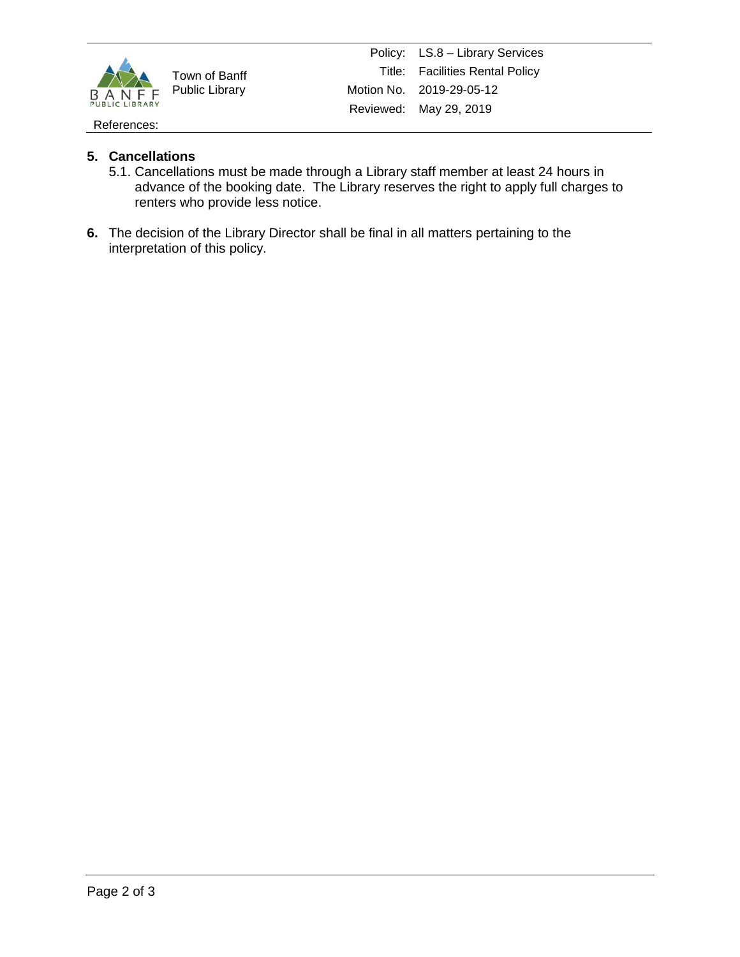

Town of Banff Public Library

#### References:

### **5. Cancellations**

- 5.1. Cancellations must be made through a Library staff member at least 24 hours in advance of the booking date. The Library reserves the right to apply full charges to renters who provide less notice.
- **6.** The decision of the Library Director shall be final in all matters pertaining to the interpretation of this policy.